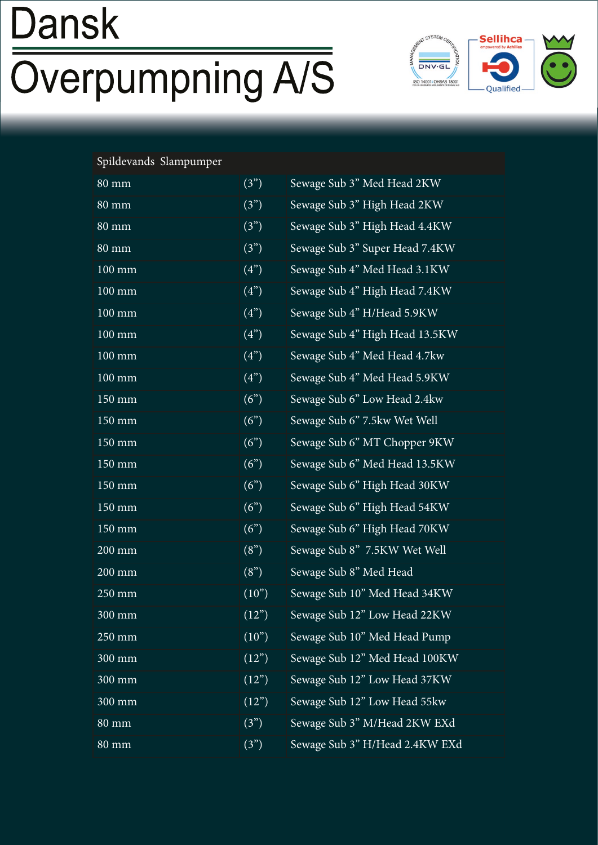# **Dansk Overpumpning A/S**



#### Spildevands Slampumper

| $80 \text{ mm}$     | (3")               |
|---------------------|--------------------|
| $80 \text{ mm}$     | (3")               |
| $80 \text{ mm}$     | (3")               |
| <b>80 mm</b>        | $\overline{(3)}$   |
| 100 mm              | (4")               |
| $100 \text{ mm}$    | (4")               |
| 100 mm              | (4")               |
| $100$ mm            | (4")               |
| $100 \ \mathrm{mm}$ | (4")               |
| 100 mm              | (4")               |
| $150$ mm            | (6")               |
| 150 mm              | (6")               |
| 150 mm              | $\overline{(6)}$   |
| 150 mm              | (6")               |
| $150$ mm            | (6")               |
| 150 mm              | (6")               |
| $150 \,\mathrm{mm}$ | (6")               |
| $200 \text{ mm}$    | (8")               |
| $200 \ \mathrm{mm}$ | $\overline{(8)}$   |
| $250 \text{ mm}$    | (10")              |
| 300 mm              | (12)               |
| $250 \text{ mm}$    | (10")              |
| 300 mm              | (12")              |
| 300 mm              | $(12^{n})$         |
| 300 mm              | (12")              |
| <b>80 mm</b>        | $\overline{(3^n)}$ |
| <b>80 mm</b>        | (3")               |
|                     |                    |

Sewage Sub 3" Med Head 2KW Sewage Sub 3" High Head 2KW Sewage Sub 3" High Head 4.4KW Sewage Sub 3" Super Head 7.4KW Sewage Sub 4" Med Head 3.1KW Sewage Sub 4" High Head 7.4KW Sewage Sub 4" H/Head 5.9KW Sewage Sub 4" High Head 13.5KW Sewage Sub 4" Med Head 4.7kw Sewage Sub 4" Med Head 5.9KW Sewage Sub 6" Low Head 2.4kw Sewage Sub 6" 7.5kw Wet Well Sewage Sub 6" MT Chopper 9KW Sewage Sub 6" Med Head 13.5KW Sewage Sub 6" High Head 30KW Sewage Sub 6" High Head 54KW Sewage Sub 6" High Head 70KW Sewage Sub 8" 7.5KW Wet Well Sewage Sub 8" Med Head Sewage Sub 10" Med Head 34KW Sewage Sub 12" Low Head 22KW Sewage Sub 10" Med Head Pump Sewage Sub 12" Med Head 100KW Sewage Sub 12" Low Head 37KW Sewage Sub 12" Low Head 55kw Sewage Sub 3" M/Head 2KW EXd Sewage Sub 3" H/Head 2.4KW EXd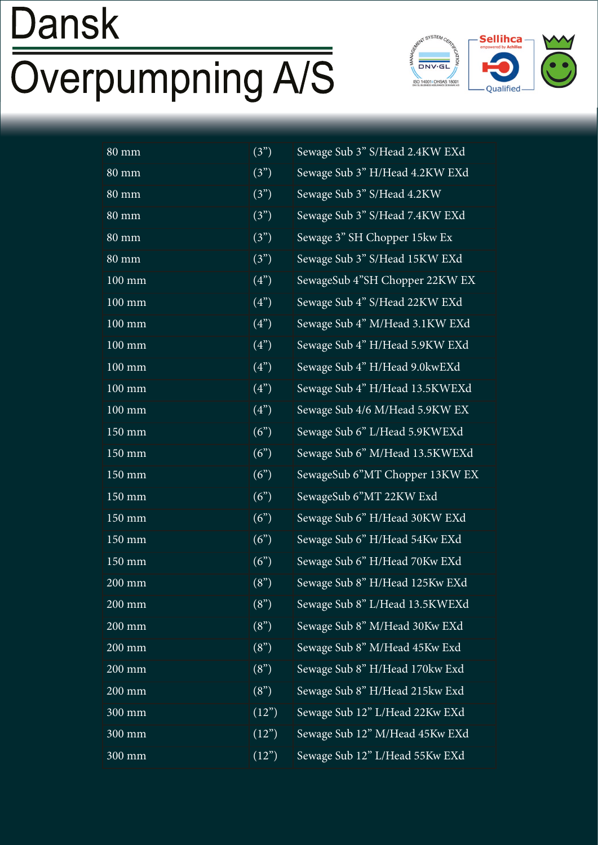# Dansk **Overpumpning A/S**



| $80 \text{ mm}$     | $(3^{n})$  |
|---------------------|------------|
| <b>80 mm</b>        | (3")       |
| $80 \text{ mm}$     | (3")       |
| $80 \text{ mm}$     | (3")       |
| $80 \text{ mm}$     | (3")       |
| $80 \text{ mm}$     | (3")       |
| 100 mm              | (4")       |
| 100 mm              | (4")       |
| $100 \text{ mm}$    | (4")       |
| $100 \text{ mm}$    | (4")       |
| $100 \text{ mm}$    | (4")       |
| 100 mm              | (4")       |
| $100 \text{ mm}$    | (4")       |
| $150 \text{ mm}$    | (6")       |
| $150$ mm            | (6")       |
| $150 \text{ mm}$    | (6")       |
| $150 \text{ mm}$    | (6")       |
| $150 \text{ mm}$    | (6")       |
| 150 mm              | (6")       |
| $150 \text{ mm}$    | (6")       |
| $200 \ \mathrm{mm}$ | (8")       |
| 200 mm              | (8")       |
| 200 mm              | (8")       |
| 200 mm              | (8")       |
| 200 mm              | (8")       |
| 200 mm              | (8")       |
| 300 mm              | $(12^{n})$ |
| $300$ mm            | (12")      |
| 300 mm              | (12")      |

Sewage Sub 3" S/Head 2.4KW EXd Sewage Sub 3" H/Head 4.2KW EXd Sewage Sub 3" S/Head 4.2KW Sewage Sub 3" S/Head 7.4KW EXd Sewage 3" SH Chopper 15kw Ex Sewage Sub 3" S/Head 15KW EXd SewageSub 4"SH Chopper 22KW EX Sewage Sub 4" S/Head 22KW EXd Sewage Sub 4" M/Head 3.1KW EXd Sewage Sub 4" H/Head 5.9KW EXd Sewage Sub 4" H/Head 9.0kwEXd Sewage Sub 4" H/Head 13.5KWEXd Sewage Sub 4/6 M/Head 5.9KW EX Sewage Sub 6" L/Head 5.9KWEXd Sewage Sub 6" M/Head 13.5KWEXd SewageSub 6"MT Chopper 13KW EX SewageSub 6"MT 22KW Exd Sewage Sub 6" H/Head 30KW EXd Sewage Sub 6" H/Head 54Kw EXd Sewage Sub 6" H/Head 70Kw EXd Sewage Sub 8" H/Head 125Kw EXd Sewage Sub 8" L/Head 13.5KWEXd Sewage Sub 8" M/Head 30Kw EXd Sewage Sub 8" M/Head 45Kw Exd Sewage Sub 8" H/Head 170kw Exd Sewage Sub 8" H/Head 215kw Exd Sewage Sub 12" L/Head 22Kw EXd Sewage Sub 12" M/Head 45Kw EXd Sewage Sub 12" L/Head 55Kw EXd